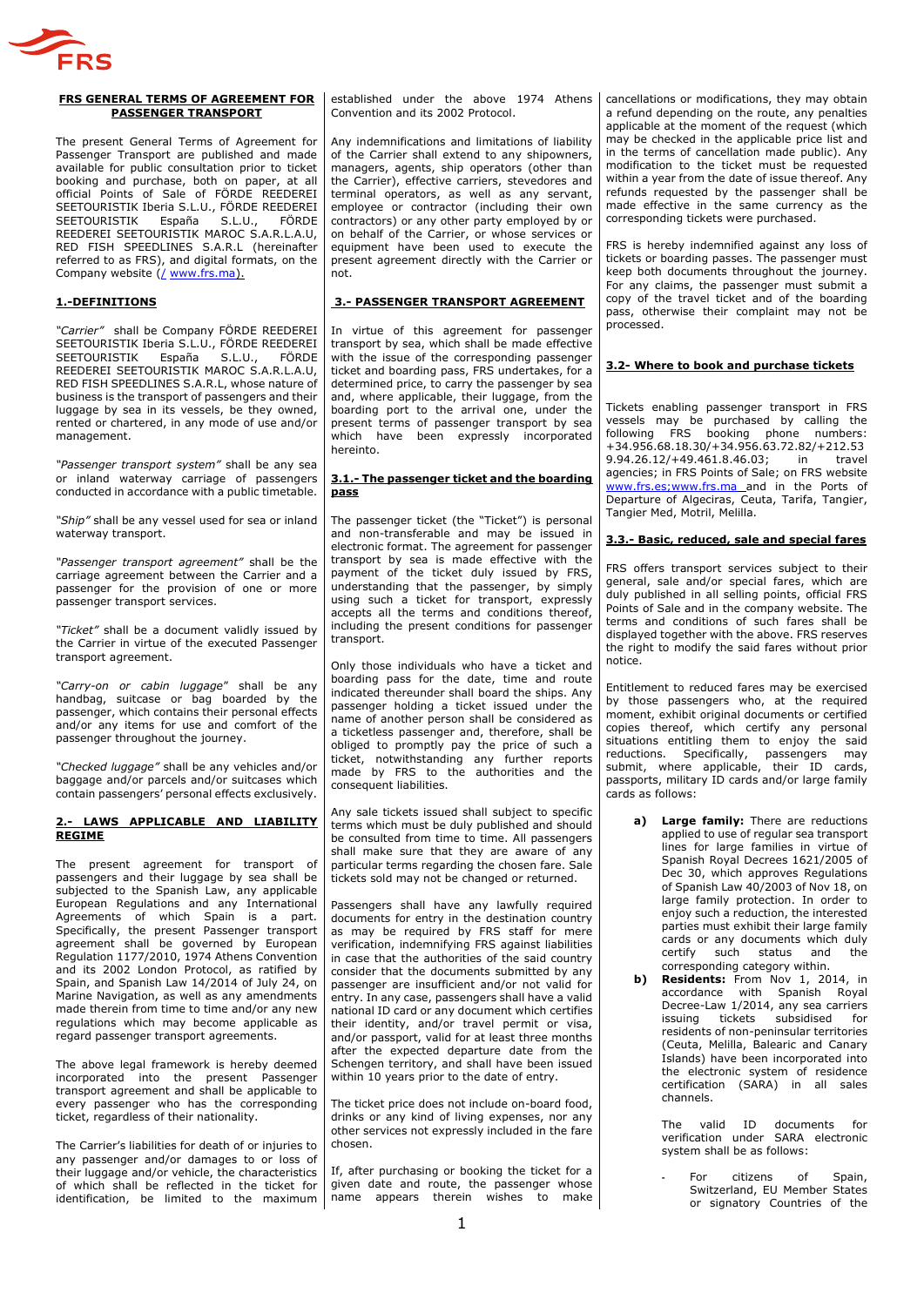

#### **FRS GENERAL TERMS OF AGREEMENT FOR PASSENGER TRANSPORT**

The present General Terms of Agreement for Passenger Transport are published and made available for public consultation prior to ticket booking and purchase, both on paper, at all official Points of Sale of FÖRDE REEDEREI SEETOURISTIK Iberia S.L.U., FÖRDE REEDEREI SEETOURISTIK España S.L.U., FÖRDE REEDEREI SEETOURISTIK MAROC S.A.R.L.A.U, RED FISH SPEEDLINES S.A.R.L (hereinafter referred to as FRS), and digital formats, on the Company website (/ www.frs.ma).

## **1.-DEFINITIONS**

*"Carrier"* shall be Company FÖRDE REEDEREI SEETOURISTIK Iberia S.L.U., FÖRDE REEDEREI<br>SEETOURISTIK España S.L.U., FÖRDE SEETOURISTIK REEDEREI SEETOURISTIK MAROC S.A.R.L.A.U, RED FISH SPEEDLINES S.A.R.L, whose nature of business is the transport of passengers and their luggage by sea in its vessels, be they owned, rented or chartered, in any mode of use and/or management.

*"Passenger transport system"* shall be any sea or inland waterway carriage of passengers conducted in accordance with a public timetable.

*"Ship"* shall be any vessel used for sea or inland waterway transport.

*"Passenger transport agreement"* shall be the carriage agreement between the Carrier and a passenger for the provision of one or more passenger transport services.

*"Ticket"* shall be a document validly issued by the Carrier in virtue of the executed Passenger transport agreement.

*"Carry-on or cabin luggage*" shall be any handbag, suitcase or bag boarded by the passenger, which contains their personal effects and/or any items for use and comfort of the passenger throughout the journey.

*"Checked luggage"* shall be any vehicles and/or baggage and/or parcels and/or suitcases which contain passengers' personal effects exclusively.

### **2.- LAWS APPLICABLE AND LIABILITY REGIME**

The present agreement for transport of passengers and their luggage by sea shall be subjected to the Spanish Law, any applicable European Regulations and any International Agreements of which Spain is a part. Specifically, the present Passenger transport agreement shall be governed by European Regulation 1177/2010, 1974 Athens Convention and its 2002 London Protocol, as ratified by Spain, and Spanish Law 14/2014 of July 24, on Marine Navigation, as well as any amendments made therein from time to time and/or any new regulations which may become applicable as regard passenger transport agreements.

The above legal framework is hereby deemed incorporated into the present Passenger transport agreement and shall be applicable to every passenger who has the corresponding ticket, regardless of their nationality.

The Carrier's liabilities for death of or injuries to any passenger and/or damages to or loss of their luggage and/or vehicle, the characteristics of which shall be reflected in the ticket for identification, be limited to the maximum

established under the above 1974 Athens Convention and its 2002 Protocol.

Any indemnifications and limitations of liability of the Carrier shall extend to any shipowners. managers, agents, ship operators (other than the Carrier), effective carriers, stevedores and terminal operators, as well as any servant, employee or contractor (including their own contractors) or any other party employed by or on behalf of the Carrier, or whose services or equipment have been used to execute the present agreement directly with the Carrier or not.

# **3.- PASSENGER TRANSPORT AGREEMENT**

In virtue of this agreement for passenger transport by sea, which shall be made effective with the issue of the corresponding passenger ticket and boarding pass, FRS undertakes, for a determined price, to carry the passenger by sea and, where applicable, their luggage, from the boarding port to the arrival one, under the present terms of passenger transport by sea which have been expressly incorporated hereinto.

### **3.1.- The passenger ticket and the boarding pass**

The passenger ticket (the "Ticket") is personal and non-transferable and may be issued in electronic format. The agreement for passenger transport by sea is made effective with the payment of the ticket duly issued by FRS, understanding that the passenger, by simply using such a ticket for transport, expressly accepts all the terms and conditions thereof, including the present conditions for passenger transport.

Only those individuals who have a ticket and boarding pass for the date, time and route indicated thereunder shall board the ships. Any passenger holding a ticket issued under the name of another person shall be considered as a ticketless passenger and, therefore, shall be obliged to promptly pay the price of such a ticket, notwithstanding any further reports made by FRS to the authorities and the consequent liabilities.

Any sale tickets issued shall subject to specific terms which must be duly published and should be consulted from time to time. All passengers shall make sure that they are aware of any particular terms regarding the chosen fare. Sale tickets sold may not be changed or returned.

Passengers shall have any lawfully required documents for entry in the destination country as may be required by FRS staff for mere verification, indemnifying FRS against liabilities in case that the authorities of the said country consider that the documents submitted by any passenger are insufficient and/or not valid for entry. In any case, passengers shall have a valid national ID card or any document which certifies their identity, and/or travel permit or visa, and/or passport, valid for at least three months after the expected departure date from the Schengen territory, and shall have been issued within 10 years prior to the date of entry.

The ticket price does not include on-board food, drinks or any kind of living expenses, nor any other services not expressly included in the fare chosen.

If, after purchasing or booking the ticket for a given date and route, the passenger whose name appears therein wishes to make cancellations or modifications, they may obtain a refund depending on the route, any penalties applicable at the moment of the request (which may be checked in the applicable price list and in the terms of cancellation made public). Any modification to the ticket must be requested within a year from the date of issue thereof. Any refunds requested by the passenger shall be made effective in the same currency as the corresponding tickets were purchased.

FRS is hereby indemnified against any loss of tickets or boarding passes. The passenger must keep both documents throughout the journey. For any claims, the passenger must submit a copy of the travel ticket and of the boarding pass, otherwise their complaint may not be processed.

### **3.2- Where to book and purchase tickets**

Tickets enabling passenger transport in FRS vessels may be purchased by calling the following FRS booking phone numbers: +34.956.68.18.30/+34.956.63.72.82/+212.53 9.94.26.12/+49.461.8.46.03; in travel agencies; in FRS Points of Sale; on FRS website [www.frs.es;www.frs.ma](http://www.frs.es;www.frs.ma/) and in the Ports of Departure of Algeciras, Ceuta, Tarifa, Tangier, Tangier Med, Motril, Melilla.

# **3.3.- Basic, reduced, sale and special fares**

FRS offers transport services subject to their general, sale and/or special fares, which are duly published in all selling points, official FRS Points of Sale and in the company website. The terms and conditions of such fares shall be displayed together with the above. FRS reserves the right to modify the said fares without prior notice.

Entitlement to reduced fares may be exercised by those passengers who, at the required moment, exhibit original documents or certified copies thereof, which certify any personal situations entitling them to enjoy the said reductions. Specifically, passengers may submit, where applicable, their ID cards, passports, military ID cards and/or large family cards as follows:

- **a) Large family:** There are reductions applied to use of regular sea transport lines for large families in virtue of Spanish Royal Decrees 1621/2005 of Dec 30, which approves Regulations of Spanish Law 40/2003 of Nov 18, on large family protection. In order to enjoy such a reduction, the interested parties must exhibit their large family cards or any documents which duly certify such status and the corresponding category within.
- **b) Residents:** From Nov 1, 2014, in accordance with Spanish Royal Decree-Law 1/2014, any sea carriers<br>issuing tickets subsidised for issuing tickets subsidised for residents of non-peninsular territories (Ceuta, Melilla, Balearic and Canary Islands) have been incorporated into the electronic system of residence certification (SARA) in all sales channels.

The valid ID documents for verification under SARA electronic system shall be as follows:

**-** For citizens of Spain, Switzerland, EU Member States or signatory Countries of the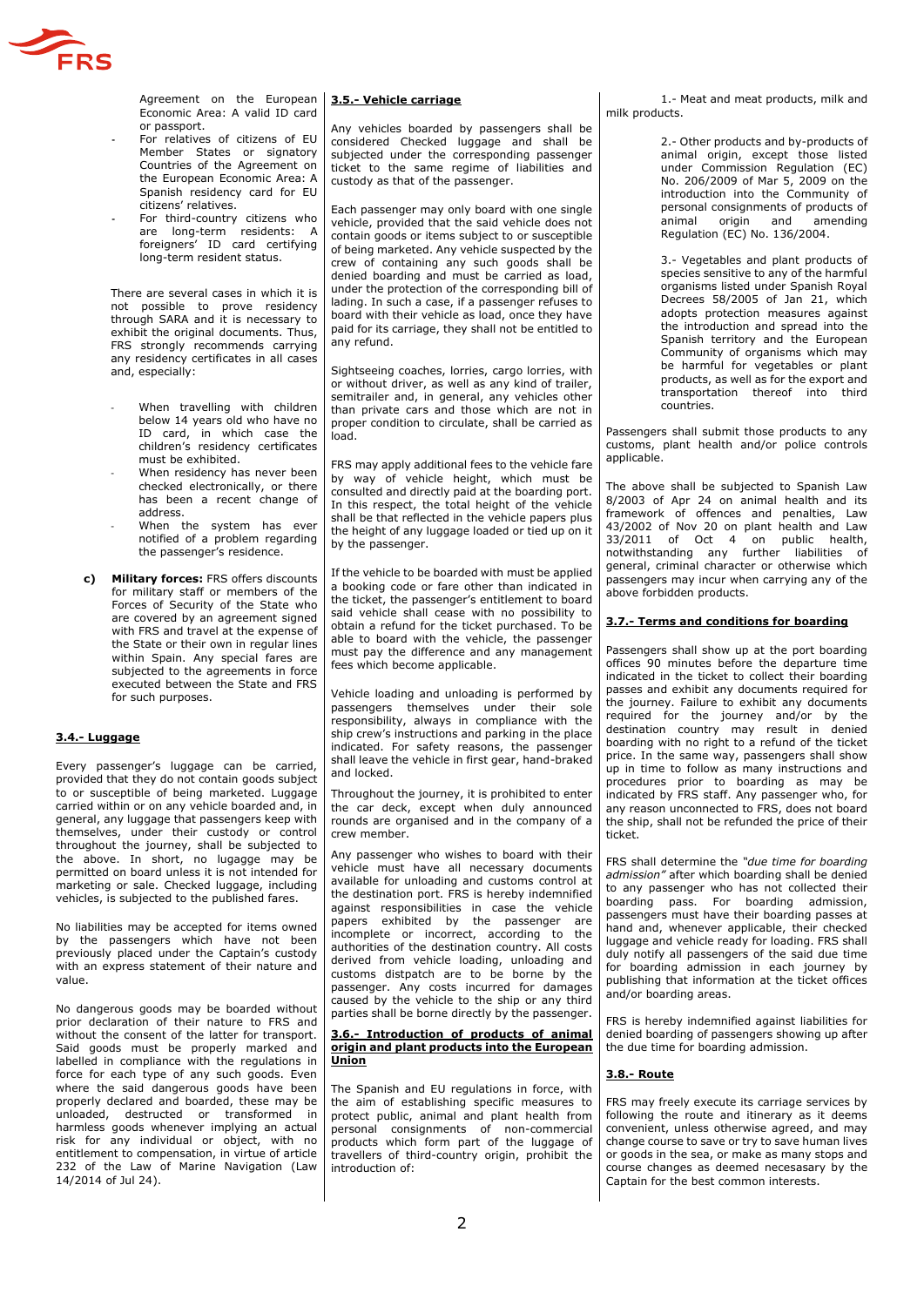

Agreement on the European Economic Area: A valid ID card or passport.

- **-** For relatives of citizens of EU Member States or signatory Countries of the Agreement on the European Economic Area: A Spanish residency card for EU citizens' relatives.
- **-** For third-country citizens who are long-term residents: A foreigners' ID card certifying long-term resident status.

There are several cases in which it is not possible to prove residency through SARA and it is necessary to exhibit the original documents. Thus, FRS strongly recommends carrying any residency certificates in all cases and, especially:

- When travelling with children below 14 years old who have no ID card, in which case the children's residency certificates must be exhibited.
- When residency has never been checked electronically, or there has been a recent change of address.
- When the system has ever notified of a problem regarding the passenger's residence.
- **c) Military forces:** FRS offers discounts for military staff or members of the Forces of Security of the State who are covered by an agreement signed with FRS and travel at the expense of the State or their own in regular lines within Spain. Any special fares are subjected to the agreements in force executed between the State and FRS for such purposes.

## **3.4.- Luggage**

Every passenger's luggage can be carried, provided that they do not contain goods subject to or susceptible of being marketed. Luggage carried within or on any vehicle boarded and, in general, any luggage that passengers keep with themselves, under their custody or control throughout the journey, shall be subjected to the above. In short, no lugagge may be permitted on board unless it is not intended for marketing or sale. Checked luggage, including vehicles, is subjected to the published fares.

No liabilities may be accepted for items owned by the passengers which have not been previously placed under the Captain's custody with an express statement of their nature and value.

No dangerous goods may be boarded without prior declaration of their nature to FRS and without the consent of the latter for transport. Said goods must be properly marked and labelled in compliance with the regulations in force for each type of any such goods. Even where the said dangerous goods have been properly declared and boarded, these may be unloaded, destructed or transformed in harmless goods whenever implying an actual risk for any individual or object, with no entitlement to compensation, in virtue of article 232 of the Law of Marine Navigation (Law 14/2014 of Jul 24).

## **3.5.- Vehicle carriage**

Any vehicles boarded by passengers shall be considered Checked luggage and shall be subjected under the corresponding passenger ticket to the same regime of liabilities and custody as that of the passenger.

Each passenger may only board with one single vehicle, provided that the said vehicle does not contain goods or items subject to or susceptible of being marketed. Any vehicle suspected by the crew of containing any such goods shall be denied boarding and must be carried as load, under the protection of the corresponding bill of lading. In such a case, if a passenger refuses to board with their vehicle as load, once they have paid for its carriage, they shall not be entitled to any refund.

Sightseeing coaches, lorries, cargo lorries, with or without driver, as well as any kind of trailer, semitrailer and, in general, any vehicles other than private cars and those which are not in proper condition to circulate, shall be carried as load.

FRS may apply additional fees to the vehicle fare by way of vehicle height, which must be consulted and directly paid at the boarding port. In this respect, the total height of the vehicle shall be that reflected in the vehicle papers plus the height of any luggage loaded or tied up on it by the passenger.

If the vehicle to be boarded with must be applied a booking code or fare other than indicated in the ticket, the passenger's entitlement to board said vehicle shall cease with no possibility to obtain a refund for the ticket purchased. To be able to board with the vehicle, the passenger must pay the difference and any management fees which become applicable.

Vehicle loading and unloading is performed by passengers themselves under their sole responsibility, always in compliance with the ship crew's instructions and parking in the place indicated. For safety reasons, the passenger shall leave the vehicle in first gear, hand-braked and locked.

Throughout the journey, it is prohibited to enter the car deck, except when duly announced rounds are organised and in the company of a crew member.

Any passenger who wishes to board with their vehicle must have all necessary documents available for unloading and customs control at the destination port. FRS is hereby indemnified against responsibilities in case the vehicle papers exhibited by the passenger are incomplete or incorrect, according to the authorities of the destination country. All costs derived from vehicle loading, unloading and customs distpatch are to be borne by the passenger. Any costs incurred for damages caused by the vehicle to the ship or any third parties shall be borne directly by the passenger.

#### **3.6.- Introduction of products of animal origin and plant products into the European Union**

The Spanish and EU regulations in force, with the aim of establishing specific measures to protect public, animal and plant health from personal consignments of non-commercial products which form part of the luggage of travellers of third-country origin, prohibit the introduction of:

1.- Meat and meat products, milk and milk products.

> 2.- Other products and by-products of animal origin, except those listed under Commission Regulation (EC) No. 206/2009 of Mar 5, 2009 on the introduction into the Community of personal consignments of products of<br>animal origin and amending animal origin and Regulation (EC) No. 136/2004.

> 3.- Vegetables and plant products of species sensitive to any of the harmful organisms listed under Spanish Royal Decrees 58/2005 of Jan 21, which adopts protection measures against the introduction and spread into the Spanish territory and the European Community of organisms which may be harmful for vegetables or plant products, as well as for the export and transportation thereof into third countries.

Passengers shall submit those products to any customs, plant health and/or police controls applicable.

The above shall be subjected to Spanish Law 8/2003 of Apr 24 on animal health and its framework of offences and penalties, Law 43/2002 of Nov 20 on plant health and Law 33/2011 of Oct 4 on public health, notwithstanding any further liabilities of general, criminal character or otherwise which passengers may incur when carrying any of the above forbidden products.

### **3.7.- Terms and conditions for boarding**

Passengers shall show up at the port boarding offices 90 minutes before the departure time indicated in the ticket to collect their boarding passes and exhibit any documents required for the journey. Failure to exhibit any documents required for the journey and/or by the destination country may result in denied boarding with no right to a refund of the ticket price. In the same way, passengers shall show up in time to follow as many instructions and procedures prior to boarding as may be indicated by FRS staff. Any passenger who, for any reason unconnected to FRS, does not board the ship, shall not be refunded the price of their ticket.

FRS shall determine the *"due time for boarding admission"* after which boarding shall be denied to any passenger who has not collected their boarding pass. For boarding admission, passengers must have their boarding passes at hand and, whenever applicable, their checked luggage and vehicle ready for loading. FRS shall duly notify all passengers of the said due time for boarding admission in each journey by publishing that information at the ticket offices and/or boarding areas.

FRS is hereby indemnified against liabilities for denied boarding of passengers showing up after the due time for boarding admission.

## **3.8.- Route**

FRS may freely execute its carriage services by following the route and itinerary as it deems convenient, unless otherwise agreed, and may change course to save or try to save human lives or goods in the sea, or make as many stops and course changes as deemed necesasary by the Captain for the best common interests.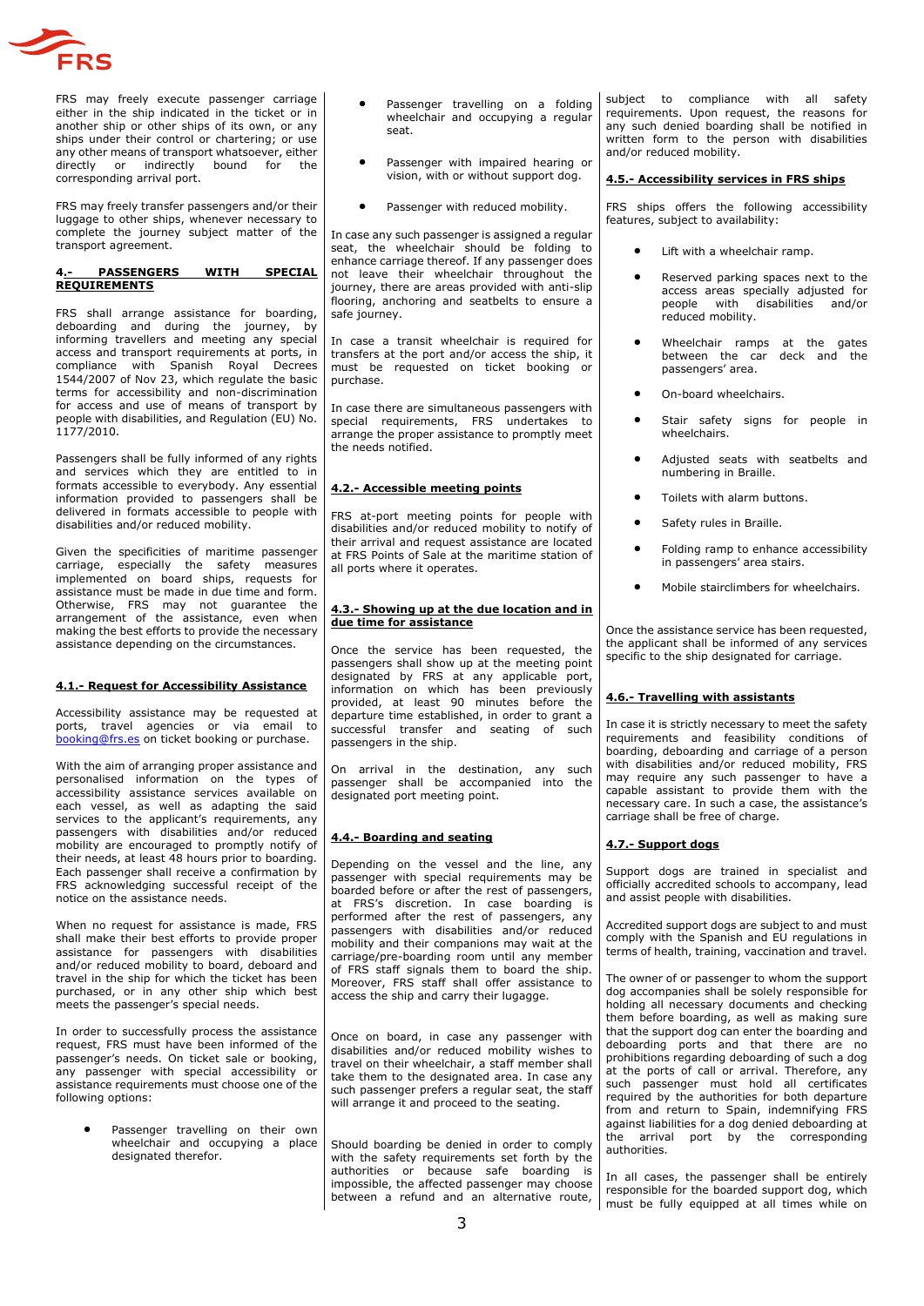

FRS may freely execute passenger carriage either in the ship indicated in the ticket or in another ship or other ships of its own, or any ships under their control or chartering; or use any other means of transport whatsoever, either<br>directly or indirectly bound for the or indirectly bound for corresponding arrival port.

FRS may freely transfer passengers and/or their luggage to other ships, whenever necessary to complete the journey subject matter of the transport agreement.

### **4.- PASSENGERS WITH SPECIAL REQUIREMENTS**

FRS shall arrange assistance for boarding, deboarding and during the journey, by informing travellers and meeting any special access and transport requirements at ports, in compliance with Spanish Royal Decrees 1544/2007 of Nov 23, which regulate the basic terms for accessibility and non-discrimination for access and use of means of transport by people with disabilities, and Regulation (EU) No. 1177/2010.

Passengers shall be fully informed of any rights and services which they are entitled to in formats accessible to everybody. Any essential information provided to passengers shall be delivered in formats accessible to people with disabilities and/or reduced mobility.

Given the specificities of maritime passenger carriage, especially the safety measures implemented on board ships, requests for assistance must be made in due time and form. Otherwise, FRS may not guarantee the arrangement of the assistance, even when making the best efforts to provide the necessary assistance depending on the circumstances.

# **4.1.- Request for Accessibility Assistance**

Accessibility assistance may be requested at ports, travel agencies or via email to [booking@frs.es](mailto:booking@frs.es) on ticket booking or purchase.

With the aim of arranging proper assistance and personalised information on the types of accessibility assistance services available on each vessel, as well as adapting the said services to the applicant's requirements, any passengers with disabilities and/or reduced mobility are encouraged to promptly notify of their needs, at least 48 hours prior to boarding. Each passenger shall receive a confirmation by FRS acknowledging successful receipt of the notice on the assistance needs.

When no request for assistance is made. FRS shall make their best efforts to provide proper assistance for passengers with disabilities and/or reduced mobility to board, deboard and travel in the ship for which the ticket has been purchased, or in any other ship which best meets the passenger's special needs.

In order to successfully process the assistance request, FRS must have been informed of the passenger's needs. On ticket sale or booking, any passenger with special accessibility or assistance requirements must choose one of the following options:

> Passenger travelling on their own wheelchair and occupying a place designated therefor.

- Passenger travelling on a folding wheelchair and occupving a regular seat.
- Passenger with impaired hearing or vision, with or without support dog.
- Passenger with reduced mobility.

In case any such passenger is assigned a regular seat, the wheelchair should be folding to enhance carriage thereof. If any passenger does not leave their wheelchair throughout the journey, there are areas provided with anti-slip flooring, anchoring and seatbelts to ensure a safe journey.

In case a transit wheelchair is required for transfers at the port and/or access the ship, it must be requested on ticket booking or purchase.

In case there are simultaneous passengers with special requirements, FRS undertakes to arrange the proper assistance to promptly meet the needs notified.

# **4.2.- Accessible meeting points**

FRS at-port meeting points for people with disabilities and/or reduced mobility to notify of their arrival and request assistance are located at FRS Points of Sale at the maritime station of all ports where it operates.

### **4.3.- Showing up at the due location and in due time for assistance**

Once the service has been requested, the passengers shall show up at the meeting point designated by FRS at any applicable port, information on which has been previously provided, at least 90 minutes before the departure time established, in order to grant a successful transfer and seating of such passengers in the ship.

On arrival in the destination, any such passenger shall be accompanied into the designated port meeting point.

# **4.4.- Boarding and seating**

Depending on the vessel and the line, any passenger with special requirements may be boarded before or after the rest of passengers, at FRS's discretion. In case boarding is performed after the rest of passengers, any passengers with disabilities and/or reduced mobility and their companions may wait at the carriage/pre-boarding room until any member of FRS staff signals them to board the ship. Moreover, FRS staff shall offer assistance to access the ship and carry their lugagge.

Once on board, in case any passenger with disabilities and/or reduced mobility wishes to travel on their wheelchair, a staff member shall take them to the designated area. In case any such passenger prefers a regular seat, the staff will arrange it and proceed to the seating.

Should boarding be denied in order to comply with the safety requirements set forth by the authorities or because safe boarding is impossible, the affected passenger may choose between a refund and an alternative route,

subject to compliance with all safety requirements. Upon request, the reasons for any such denied boarding shall be notified in written form to the person with disabilities and/or reduced mobility.

## **4.5.- Accessibility services in FRS ships**

FRS ships offers the following accessibility features, subject to availability:

- Lift with a wheelchair ramp.
- Reserved parking spaces next to the access areas specially adjusted for people with disabilities and/or reduced mobility.
- Wheelchair ramps at the gates between the car deck and the passengers' area.
- On-board wheelchairs.
- Stair safety signs for people in wheelchairs<sup>.</sup>
- Adjusted seats with seatbelts and numbering in Braille.
- Toilets with alarm buttons.
- Safety rules in Braille.
- Folding ramp to enhance accessibility in passengers' area stairs.
- Mobile stairclimbers for wheelchairs.

Once the assistance service has been requested, the applicant shall be informed of any services specific to the ship designated for carriage.

## **4.6.- Travelling with assistants**

In case it is strictly necessary to meet the safety requirements and feasibility conditions of boarding, deboarding and carriage of a person with disabilities and/or reduced mobility, FRS may require any such passenger to have a capable assistant to provide them with the necessary care. In such a case, the assistance's carriage shall be free of charge.

# **4.7.- Support dogs**

Support dogs are trained in specialist and officially accredited schools to accompany, lead and assist people with disabilities.

Accredited support dogs are subject to and must comply with the Spanish and EU regulations in terms of health, training, vaccination and travel.

The owner of or passenger to whom the support dog accompanies shall be solely responsible for holding all necessary documents and checking them before boarding, as well as making sure that the support dog can enter the boarding and deboarding ports and that there are no prohibitions regarding deboarding of such a dog at the ports of call or arrival. Therefore, any such passenger must hold all certificates required by the authorities for both departure from and return to Spain, indemnifying FRS against liabilities for a dog denied deboarding at the arrival port by the corresponding authorities.

In all cases, the passenger shall be entirely responsible for the boarded support dog, which must be fully equipped at all times while on